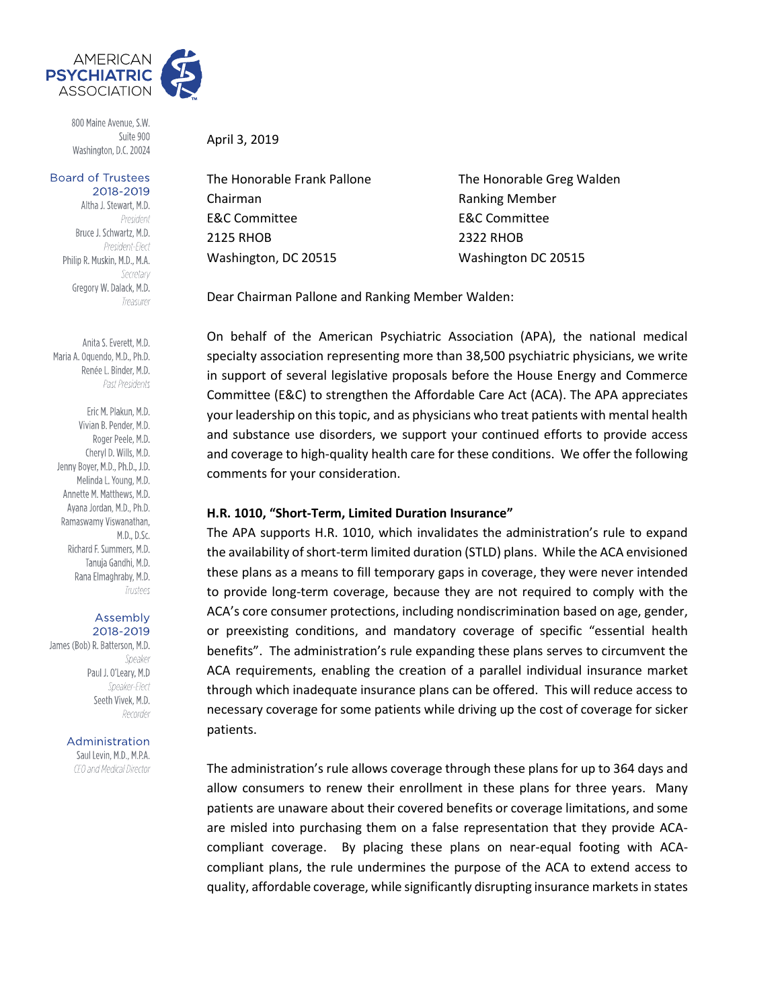

800 Maine Avenue, S.W. Suite 900 Washington, D.C. 20024

#### **Board of Trustees** 2018-2019

Altha J. Stewart, M.D. President Bruce J. Schwartz, M.D. President-Elect Philip R. Muskin, M.D., M.A. Secretary Gregory W. Dalack, M.D. Treasurer

Anita S. Everett, M.D. Maria A. Oquendo, M.D., Ph.D. Renée L. Binder, M.D. Past Presidents

Eric M. Plakun, M.D. Vivian B. Pender, M.D. Roger Peele, M.D. Cheryl D. Wills, M.D. Jenny Boyer, M.D., Ph.D., J.D. Melinda L. Young, M.D. Annette M. Matthews, M.D. Avana Jordan, M.D., Ph.D. Ramaswamy Viswanathan, M.D., D.Sc. Richard F. Summers, M.D. Tanuja Gandhi, M.D. Rana Elmaghraby, M.D. Trustees

#### Assembly 2018-2019

James (Bob) R. Batterson, M.D. Speaker Paul J. O'Leary, M.D Speaker-Flect Seeth Vivek, M.D. Recorder

#### Administration

Saul Levin, M.D., M.P.A. CEO and Medical Director

April 3, 2019

Chairman **Ranking Member** E&C Committee E&C Committee 2125 RHOB 2322 RHOB Washington, DC 20515 Washington DC 20515

The Honorable Frank Pallone The Honorable Greg Walden

Dear Chairman Pallone and Ranking Member Walden:

On behalf of the American Psychiatric Association (APA), the national medical specialty association representing more than 38,500 psychiatric physicians, we write in support of several legislative proposals before the House Energy and Commerce Committee (E&C) to strengthen the Affordable Care Act (ACA). The APA appreciates your leadership on this topic, and as physicians who treat patients with mental health and substance use disorders, we support your continued efforts to provide access and coverage to high-quality health care for these conditions. We offer the following comments for your consideration.

## **H.R. 1010, "Short-Term, Limited Duration Insurance"**

The APA supports H.R. 1010, which invalidates the administration's rule to expand the availability of short-term limited duration (STLD) plans. While the ACA envisioned these plans as a means to fill temporary gaps in coverage, they were never intended to provide long-term coverage, because they are not required to comply with the ACA's core consumer protections, including nondiscrimination based on age, gender, or preexisting conditions, and mandatory coverage of specific "essential health benefits". The administration's rule expanding these plans serves to circumvent the ACA requirements, enabling the creation of a parallel individual insurance market through which inadequate insurance plans can be offered. This will reduce access to necessary coverage for some patients while driving up the cost of coverage for sicker patients.

The administration's rule allows coverage through these plans for up to 364 days and allow consumers to renew their enrollment in these plans for three years. Many patients are unaware about their covered benefits or coverage limitations, and some are misled into purchasing them on a false representation that they provide ACAcompliant coverage. By placing these plans on near-equal footing with ACAcompliant plans, the rule undermines the purpose of the ACA to extend access to quality, affordable coverage, while significantly disrupting insurance markets in states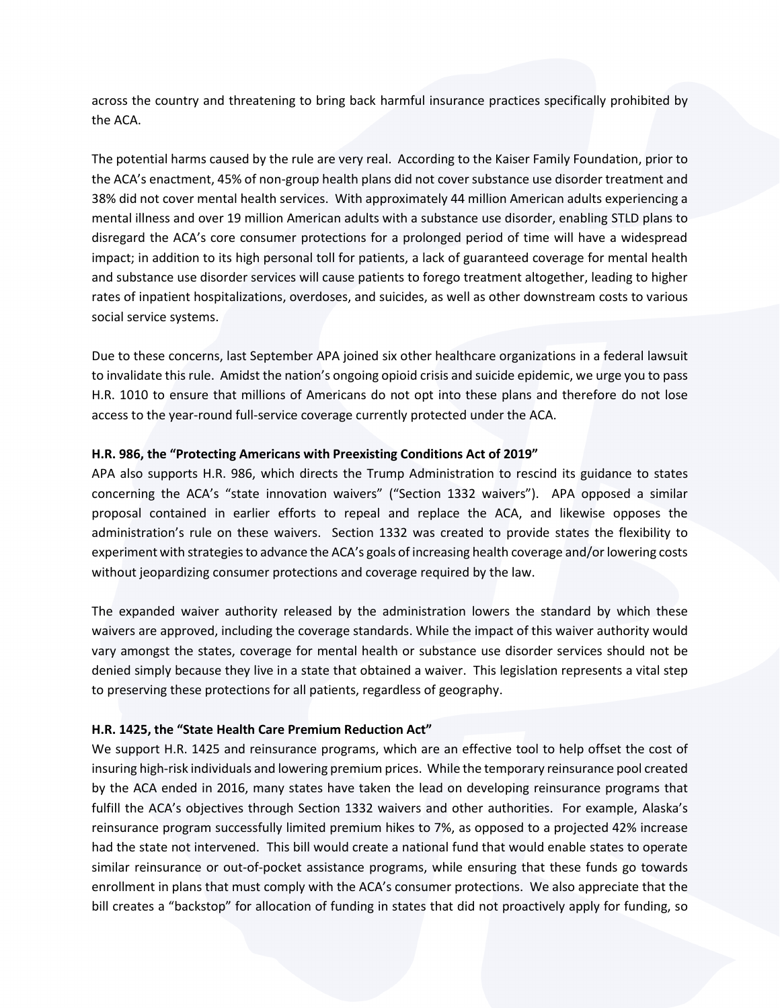across the country and threatening to bring back harmful insurance practices specifically prohibited by the ACA.

The potential harms caused by the rule are very real. According to the Kaiser Family Foundation, prior to the ACA's enactment, 45% of non-group health plans did not cover substance use disorder treatment and 38% did not cover mental health services. With approximately 44 million American adults experiencing a mental illness and over 19 million American adults with a substance use disorder, enabling STLD plans to disregard the ACA's core consumer protections for a prolonged period of time will have a widespread impact; in addition to its high personal toll for patients, a lack of guaranteed coverage for mental health and substance use disorder services will cause patients to forego treatment altogether, leading to higher rates of inpatient hospitalizations, overdoses, and suicides, as well as other downstream costs to various social service systems.

Due to these concerns, last September APA joined six other healthcare organizations in a federal lawsuit to invalidate this rule. Amidst the nation's ongoing opioid crisis and suicide epidemic, we urge you to pass H.R. 1010 to ensure that millions of Americans do not opt into these plans and therefore do not lose access to the year-round full-service coverage currently protected under the ACA.

## **H.R. 986, the "Protecting Americans with Preexisting Conditions Act of 2019"**

APA also supports H.R. 986, which directs the Trump Administration to rescind its guidance to states concerning the ACA's "state innovation waivers" ("Section 1332 waivers"). APA opposed a similar proposal contained in earlier efforts to repeal and replace the ACA, and likewise opposes the administration's rule on these waivers. Section 1332 was created to provide states the flexibility to experiment with strategiesto advance the ACA's goals of increasing health coverage and/or lowering costs without jeopardizing consumer protections and coverage required by the law.

The expanded waiver authority released by the administration lowers the standard by which these waivers are approved, including the coverage standards. While the impact of this waiver authority would vary amongst the states, coverage for mental health or substance use disorder services should not be denied simply because they live in a state that obtained a waiver. This legislation represents a vital step to preserving these protections for all patients, regardless of geography.

## **H.R. 1425, the "State Health Care Premium Reduction Act"**

We support H.R. 1425 and reinsurance programs, which are an effective tool to help offset the cost of insuring high-risk individuals and lowering premium prices. While the temporary reinsurance pool created by the ACA ended in 2016, many states have taken the lead on developing reinsurance programs that fulfill the ACA's objectives through Section 1332 waivers and other authorities. For example, Alaska's reinsurance program successfully limited premium hikes to 7%, as opposed to a projected 42% increase had the state not intervened. This bill would create a national fund that would enable states to operate similar reinsurance or out-of-pocket assistance programs, while ensuring that these funds go towards enrollment in plans that must comply with the ACA's consumer protections. We also appreciate that the bill creates a "backstop" for allocation of funding in states that did not proactively apply for funding, so